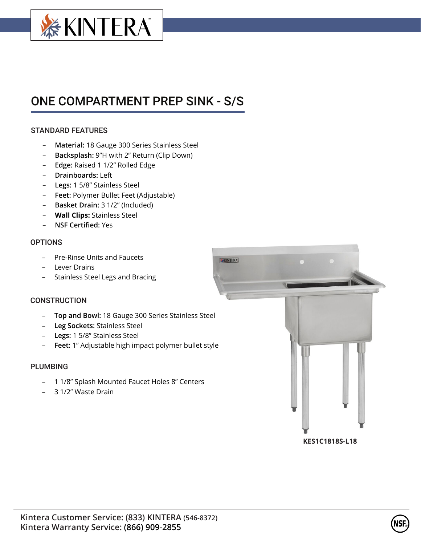

# ONE COMPARTMENT PREP SINK - S/S

# STANDARD FEATURES

- **Material:** 18 Gauge 300 Series Stainless Steel
- **Backsplash:** 9"H with 2" Return (Clip Down)
- **Edge:** Raised 1 1/2" Rolled Edge
- **Drainboards:** Left
- **Legs:** 1 5/8" Stainless Steel
- **Feet:** Polymer Bullet Feet (Adjustable)
- **Basket Drain:** 3 1/2" (Included)
- **Wall Clips:** Stainless Steel
- **NSF Certified:** Yes

### **OPTIONS**

- Pre-Rinse Units and Faucets
- Lever Drains
- Stainless Steel Legs and Bracing

# **CONSTRUCTION**

- **Top and Bowl:** 18 Gauge 300 Series Stainless Steel
- **Leg Sockets:** Stainless Steel
- **Legs:** 1 5/8" Stainless Steel
- **Feet:** 1" Adjustable high impact polymer bullet style

# PLUMBING

- 1 1/8" Splash Mounted Faucet Holes 8" Centers
- 3 1/2" Waste Drain